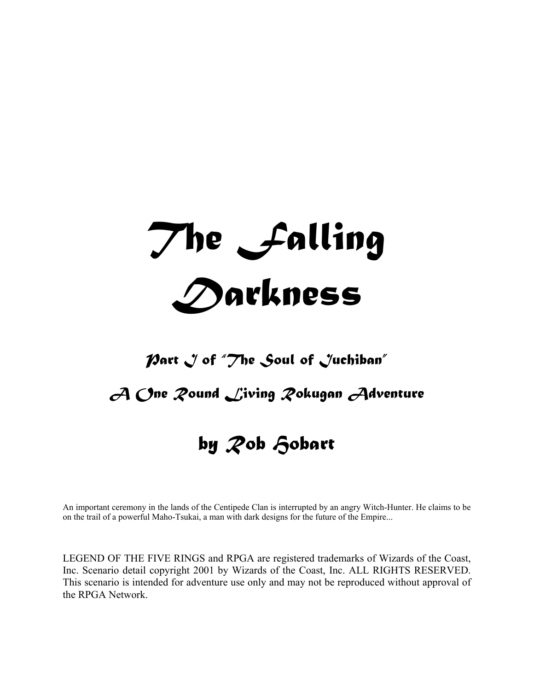# *The Falling Darkness*

# *Part J of "The Soul of Juchiban"*

# *A One Round Living Rokugan Adventure*

# *by Rob Hobart*

An important ceremony in the lands of the Centipede Clan is interrupted by an angry Witch-Hunter. He claims to be on the trail of a powerful Maho-Tsukai, a man with dark designs for the future of the Empire...

LEGEND OF THE FIVE RINGS and RPGA are registered trademarks of Wizards of the Coast, Inc. Scenario detail copyright 2001 by Wizards of the Coast, Inc. ALL RIGHTS RESERVED. This scenario is intended for adventure use only and may not be reproduced without approval of the RPGA Network.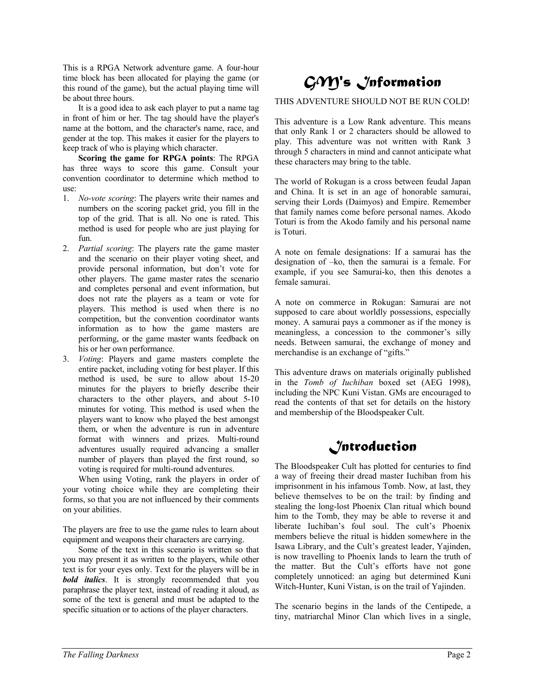This is a RPGA Network adventure game. A four-hour time block has been allocated for playing the game (or this round of the game), but the actual playing time will be about three hours.

 It is a good idea to ask each player to put a name tag in front of him or her. The tag should have the player's name at the bottom, and the character's name, race, and gender at the top. This makes it easier for the players to keep track of who is playing which character.

**Scoring the game for RPGA points**: The RPGA has three ways to score this game. Consult your convention coordinator to determine which method to use:

- 1. *No-vote scoring*: The players write their names and numbers on the scoring packet grid, you fill in the top of the grid. That is all. No one is rated. This method is used for people who are just playing for fun.
- 2. *Partial scoring*: The players rate the game master and the scenario on their player voting sheet, and provide personal information, but don't vote for other players. The game master rates the scenario and completes personal and event information, but does not rate the players as a team or vote for players. This method is used when there is no competition, but the convention coordinator wants information as to how the game masters are performing, or the game master wants feedback on his or her own performance.
- 3. *Voting*: Players and game masters complete the entire packet, including voting for best player. If this method is used, be sure to allow about 15-20 minutes for the players to briefly describe their characters to the other players, and about 5-10 minutes for voting. This method is used when the players want to know who played the best amongst them, or when the adventure is run in adventure format with winners and prizes. Multi-round adventures usually required advancing a smaller number of players than played the first round, so voting is required for multi-round adventures.

 When using Voting, rank the players in order of your voting choice while they are completing their forms, so that you are not influenced by their comments on your abilities.

The players are free to use the game rules to learn about equipment and weapons their characters are carrying.

 Some of the text in this scenario is written so that you may present it as written to the players, while other text is for your eyes only. Text for the players will be in *bold italics*. It is strongly recommended that you paraphrase the player text, instead of reading it aloud, as some of the text is general and must be adapted to the specific situation or to actions of the player characters.

# *GM's Information*

#### THIS ADVENTURE SHOULD NOT BE RUN COLD!

This adventure is a Low Rank adventure. This means that only Rank 1 or 2 characters should be allowed to play. This adventure was not written with Rank 3 through 5 characters in mind and cannot anticipate what these characters may bring to the table.

The world of Rokugan is a cross between feudal Japan and China. It is set in an age of honorable samurai, serving their Lords (Daimyos) and Empire. Remember that family names come before personal names. Akodo Toturi is from the Akodo family and his personal name is Toturi.

A note on female designations: If a samurai has the designation of –ko, then the samurai is a female. For example, if you see Samurai-ko, then this denotes a female samurai.

A note on commerce in Rokugan: Samurai are not supposed to care about worldly possessions, especially money. A samurai pays a commoner as if the money is meaningless, a concession to the commoner's silly needs. Between samurai, the exchange of money and merchandise is an exchange of "gifts."

This adventure draws on materials originally published in the *Tomb of Iuchiban* boxed set (AEG 1998), including the NPC Kuni Vistan. GMs are encouraged to read the contents of that set for details on the history and membership of the Bloodspeaker Cult.

## *Introduction*

The Bloodspeaker Cult has plotted for centuries to find a way of freeing their dread master Iuchiban from his imprisonment in his infamous Tomb. Now, at last, they believe themselves to be on the trail: by finding and stealing the long-lost Phoenix Clan ritual which bound him to the Tomb, they may be able to reverse it and liberate Iuchiban's foul soul. The cult's Phoenix members believe the ritual is hidden somewhere in the Isawa Library, and the Cult's greatest leader, Yajinden, is now travelling to Phoenix lands to learn the truth of the matter. But the Cult's efforts have not gone completely unnoticed: an aging but determined Kuni Witch-Hunter, Kuni Vistan, is on the trail of Yajinden.

The scenario begins in the lands of the Centipede, a tiny, matriarchal Minor Clan which lives in a single,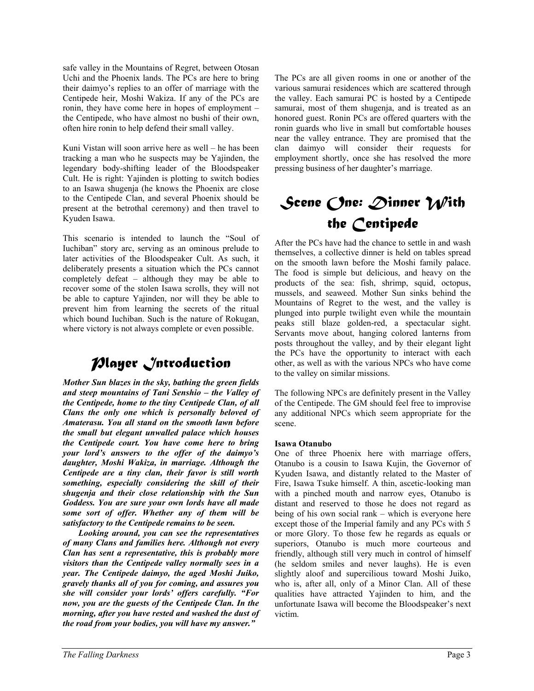safe valley in the Mountains of Regret, between Otosan Uchi and the Phoenix lands. The PCs are here to bring their daimyo's replies to an offer of marriage with the Centipede heir, Moshi Wakiza. If any of the PCs are ronin, they have come here in hopes of employment – the Centipede, who have almost no bushi of their own, often hire ronin to help defend their small valley.

Kuni Vistan will soon arrive here as well – he has been tracking a man who he suspects may be Yajinden, the legendary body-shifting leader of the Bloodspeaker Cult. He is right: Yajinden is plotting to switch bodies to an Isawa shugenja (he knows the Phoenix are close to the Centipede Clan, and several Phoenix should be present at the betrothal ceremony) and then travel to Kyuden Isawa.

This scenario is intended to launch the "Soul of Iuchiban" story arc, serving as an ominous prelude to later activities of the Bloodspeaker Cult. As such, it deliberately presents a situation which the PCs cannot completely defeat – although they may be able to recover some of the stolen Isawa scrolls, they will not be able to capture Yajinden, nor will they be able to prevent him from learning the secrets of the ritual which bound Iuchiban. Such is the nature of Rokugan, where victory is not always complete or even possible.

# *Player Introduction*

*Mother Sun blazes in the sky, bathing the green fields and steep mountains of Tani Senshio – the Valley of the Centipede, home to the tiny Centipede Clan, of all Clans the only one which is personally beloved of Amaterasu. You all stand on the smooth lawn before the small but elegant unwalled palace which houses the Centipede court. You have come here to bring your lord's answers to the offer of the daimyo's daughter, Moshi Wakiza, in marriage. Although the Centipede are a tiny clan, their favor is still worth something, especially considering the skill of their shugenja and their close relationship with the Sun Goddess. You are sure your own lords have all made some sort of offer. Whether any of them will be satisfactory to the Centipede remains to be seen.* 

 *Looking around, you can see the representatives of many Clans and families here. Although not every Clan has sent a representative, this is probably more visitors than the Centipede valley normally sees in a year. The Centipede daimyo, the aged Moshi Juiko, gravely thanks all of you for coming, and assures you she will consider your lords' offers carefully. "For now, you are the guests of the Centipede Clan. In the morning, after you have rested and washed the dust of the road from your bodies, you will have my answer."* 

The PCs are all given rooms in one or another of the various samurai residences which are scattered through the valley. Each samurai PC is hosted by a Centipede samurai, most of them shugenja, and is treated as an honored guest. Ronin PCs are offered quarters with the ronin guards who live in small but comfortable houses near the valley entrance. They are promised that the clan daimyo will consider their requests for employment shortly, once she has resolved the more pressing business of her daughter's marriage.

# *Scene One: Dinner With the Centipede*

After the PCs have had the chance to settle in and wash themselves, a collective dinner is held on tables spread on the smooth lawn before the Moshi family palace. The food is simple but delicious, and heavy on the products of the sea: fish, shrimp, squid, octopus, mussels, and seaweed. Mother Sun sinks behind the Mountains of Regret to the west, and the valley is plunged into purple twilight even while the mountain peaks still blaze golden-red, a spectacular sight. Servants move about, hanging colored lanterns from posts throughout the valley, and by their elegant light the PCs have the opportunity to interact with each other, as well as with the various NPCs who have come to the valley on similar missions.

The following NPCs are definitely present in the Valley of the Centipede. The GM should feel free to improvise any additional NPCs which seem appropriate for the scene.

#### **Isawa Otanubo**

One of three Phoenix here with marriage offers, Otanubo is a cousin to Isawa Kujin, the Governor of Kyuden Isawa, and distantly related to the Master of Fire, Isawa Tsuke himself. A thin, ascetic-looking man with a pinched mouth and narrow eyes, Otanubo is distant and reserved to those he does not regard as being of his own social rank – which is everyone here except those of the Imperial family and any PCs with 5 or more Glory. To those few he regards as equals or superiors, Otanubo is much more courteous and friendly, although still very much in control of himself (he seldom smiles and never laughs). He is even slightly aloof and supercilious toward Moshi Juiko, who is, after all, only of a Minor Clan. All of these qualities have attracted Yajinden to him, and the unfortunate Isawa will become the Bloodspeaker's next victim.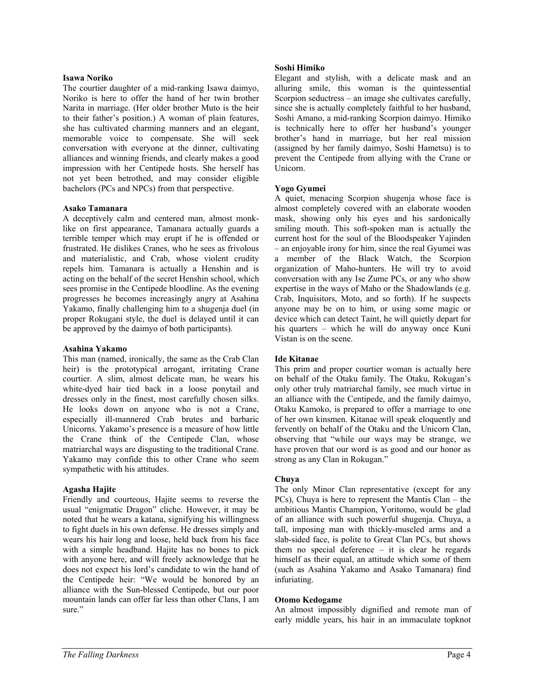#### **Isawa Noriko**

The courtier daughter of a mid-ranking Isawa daimyo, Noriko is here to offer the hand of her twin brother Narita in marriage. (Her older brother Muto is the heir to their father's position.) A woman of plain features, she has cultivated charming manners and an elegant, memorable voice to compensate. She will seek conversation with everyone at the dinner, cultivating alliances and winning friends, and clearly makes a good impression with her Centipede hosts. She herself has not yet been betrothed, and may consider eligible bachelors (PCs and NPCs) from that perspective.

#### **Asako Tamanara**

A deceptively calm and centered man, almost monklike on first appearance, Tamanara actually guards a terrible temper which may erupt if he is offended or frustrated. He dislikes Cranes, who he sees as frivolous and materialistic, and Crab, whose violent crudity repels him. Tamanara is actually a Henshin and is acting on the behalf of the secret Henshin school, which sees promise in the Centipede bloodline. As the evening progresses he becomes increasingly angry at Asahina Yakamo, finally challenging him to a shugenja duel (in proper Rokugani style, the duel is delayed until it can be approved by the daimyo of both participants).

#### **Asahina Yakamo**

This man (named, ironically, the same as the Crab Clan heir) is the prototypical arrogant, irritating Crane courtier. A slim, almost delicate man, he wears his white-dyed hair tied back in a loose ponytail and dresses only in the finest, most carefully chosen silks. He looks down on anyone who is not a Crane, especially ill-mannered Crab brutes and barbaric Unicorns. Yakamo's presence is a measure of how little the Crane think of the Centipede Clan, whose matriarchal ways are disgusting to the traditional Crane. Yakamo may confide this to other Crane who seem sympathetic with his attitudes.

#### **Agasha Hajite**

Friendly and courteous, Hajite seems to reverse the usual "enigmatic Dragon" cliche. However, it may be noted that he wears a katana, signifying his willingness to fight duels in his own defense. He dresses simply and wears his hair long and loose, held back from his face with a simple headband. Hajite has no bones to pick with anyone here, and will freely acknowledge that he does not expect his lord's candidate to win the hand of the Centipede heir: "We would be honored by an alliance with the Sun-blessed Centipede, but our poor mountain lands can offer far less than other Clans, I am sure."

#### **Soshi Himiko**

Elegant and stylish, with a delicate mask and an alluring smile, this woman is the quintessential Scorpion seductress – an image she cultivates carefully, since she is actually completely faithful to her husband, Soshi Amano, a mid-ranking Scorpion daimyo. Himiko is technically here to offer her husband's younger brother's hand in marriage, but her real mission (assigned by her family daimyo, Soshi Hametsu) is to prevent the Centipede from allying with the Crane or Unicorn.

#### **Yogo Gyumei**

A quiet, menacing Scorpion shugenja whose face is almost completely covered with an elaborate wooden mask, showing only his eyes and his sardonically smiling mouth. This soft-spoken man is actually the current host for the soul of the Bloodspeaker Yajinden – an enjoyable irony for him, since the real Gyumei was a member of the Black Watch, the Scorpion organization of Maho-hunters. He will try to avoid conversation with any Ise Zume PCs, or any who show expertise in the ways of Maho or the Shadowlands (e.g. Crab, Inquisitors, Moto, and so forth). If he suspects anyone may be on to him, or using some magic or device which can detect Taint, he will quietly depart for his quarters – which he will do anyway once Kuni Vistan is on the scene.

#### **Ide Kitanae**

This prim and proper courtier woman is actually here on behalf of the Otaku family. The Otaku, Rokugan's only other truly matriarchal family, see much virtue in an alliance with the Centipede, and the family daimyo, Otaku Kamoko, is prepared to offer a marriage to one of her own kinsmen. Kitanae will speak eloquently and fervently on behalf of the Otaku and the Unicorn Clan, observing that "while our ways may be strange, we have proven that our word is as good and our honor as strong as any Clan in Rokugan."

#### **Chuya**

The only Minor Clan representative (except for any PCs), Chuya is here to represent the Mantis Clan – the ambitious Mantis Champion, Yoritomo, would be glad of an alliance with such powerful shugenja. Chuya, a tall, imposing man with thickly-muscled arms and a slab-sided face, is polite to Great Clan PCs, but shows them no special deference  $-$  it is clear he regards himself as their equal, an attitude which some of them (such as Asahina Yakamo and Asako Tamanara) find infuriating.

#### **Otomo Kedogame**

An almost impossibly dignified and remote man of early middle years, his hair in an immaculate topknot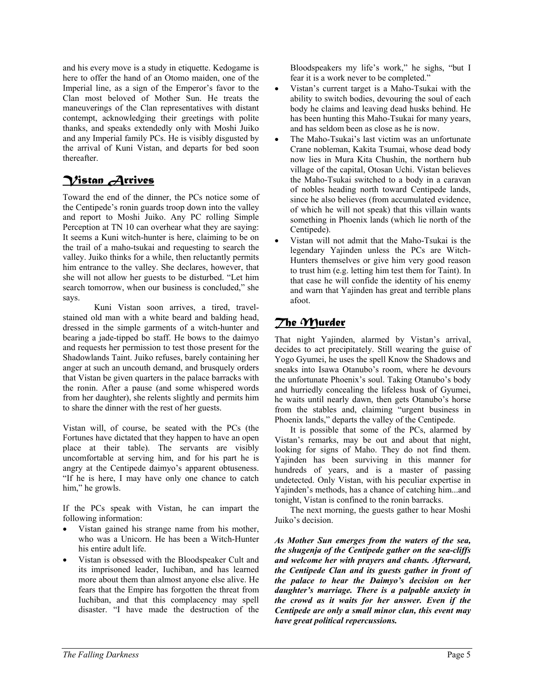and his every move is a study in etiquette. Kedogame is here to offer the hand of an Otomo maiden, one of the Imperial line, as a sign of the Emperor's favor to the Clan most beloved of Mother Sun. He treats the maneuverings of the Clan representatives with distant contempt, acknowledging their greetings with polite thanks, and speaks extendedly only with Moshi Juiko and any Imperial family PCs. He is visibly disgusted by the arrival of Kuni Vistan, and departs for bed soon thereafter.

## *Vistan Arrives*

Toward the end of the dinner, the PCs notice some of the Centipede's ronin guards troop down into the valley and report to Moshi Juiko. Any PC rolling Simple Perception at TN 10 can overhear what they are saying: It seems a Kuni witch-hunter is here, claiming to be on the trail of a maho-tsukai and requesting to search the valley. Juiko thinks for a while, then reluctantly permits him entrance to the valley. She declares, however, that she will not allow her guests to be disturbed. "Let him search tomorrow, when our business is concluded," she says.

Kuni Vistan soon arrives, a tired, travelstained old man with a white beard and balding head, dressed in the simple garments of a witch-hunter and bearing a jade-tipped bo staff. He bows to the daimyo and requests her permission to test those present for the Shadowlands Taint. Juiko refuses, barely containing her anger at such an uncouth demand, and brusquely orders that Vistan be given quarters in the palace barracks with the ronin. After a pause (and some whispered words from her daughter), she relents slightly and permits him to share the dinner with the rest of her guests.

Vistan will, of course, be seated with the PCs (the Fortunes have dictated that they happen to have an open place at their table). The servants are visibly uncomfortable at serving him, and for his part he is angry at the Centipede daimyo's apparent obtuseness. "If he is here, I may have only one chance to catch him," he growls.

If the PCs speak with Vistan, he can impart the following information:

- Vistan gained his strange name from his mother, who was a Unicorn. He has been a Witch-Hunter his entire adult life.
- Vistan is obsessed with the Bloodspeaker Cult and its imprisoned leader, Iuchiban, and has learned more about them than almost anyone else alive. He fears that the Empire has forgotten the threat from Iuchiban, and that this complacency may spell disaster. "I have made the destruction of the

Bloodspeakers my life's work," he sighs, "but I fear it is a work never to be completed."

- Vistan's current target is a Maho-Tsukai with the ability to switch bodies, devouring the soul of each body he claims and leaving dead husks behind. He has been hunting this Maho-Tsukai for many years, and has seldom been as close as he is now.
- The Maho-Tsukai's last victim was an unfortunate Crane nobleman, Kakita Tsumai, whose dead body now lies in Mura Kita Chushin, the northern hub village of the capital, Otosan Uchi. Vistan believes the Maho-Tsukai switched to a body in a caravan of nobles heading north toward Centipede lands, since he also believes (from accumulated evidence, of which he will not speak) that this villain wants something in Phoenix lands (which lie north of the Centipede).
- Vistan will not admit that the Maho-Tsukai is the legendary Yajinden unless the PCs are Witch-Hunters themselves or give him very good reason to trust him (e.g. letting him test them for Taint). In that case he will confide the identity of his enemy and warn that Yajinden has great and terrible plans afoot.

#### *The Murder*

That night Yajinden, alarmed by Vistan's arrival, decides to act precipitately. Still wearing the guise of Yogo Gyumei, he uses the spell Know the Shadows and sneaks into Isawa Otanubo's room, where he devours the unfortunate Phoenix's soul. Taking Otanubo's body and hurriedly concealing the lifeless husk of Gyumei, he waits until nearly dawn, then gets Otanubo's horse from the stables and, claiming "urgent business in Phoenix lands," departs the valley of the Centipede.

 It is possible that some of the PCs, alarmed by Vistan's remarks, may be out and about that night, looking for signs of Maho. They do not find them. Yajinden has been surviving in this manner for hundreds of years, and is a master of passing undetected. Only Vistan, with his peculiar expertise in Yajinden's methods, has a chance of catching him...and tonight, Vistan is confined to the ronin barracks.

 The next morning, the guests gather to hear Moshi Juiko's decision.

*As Mother Sun emerges from the waters of the sea, the shugenja of the Centipede gather on the sea-cliffs and welcome her with prayers and chants. Afterward, the Centipede Clan and its guests gather in front of the palace to hear the Daimyo's decision on her daughter's marriage. There is a palpable anxiety in the crowd as it waits for her answer. Even if the Centipede are only a small minor clan, this event may have great political repercussions.*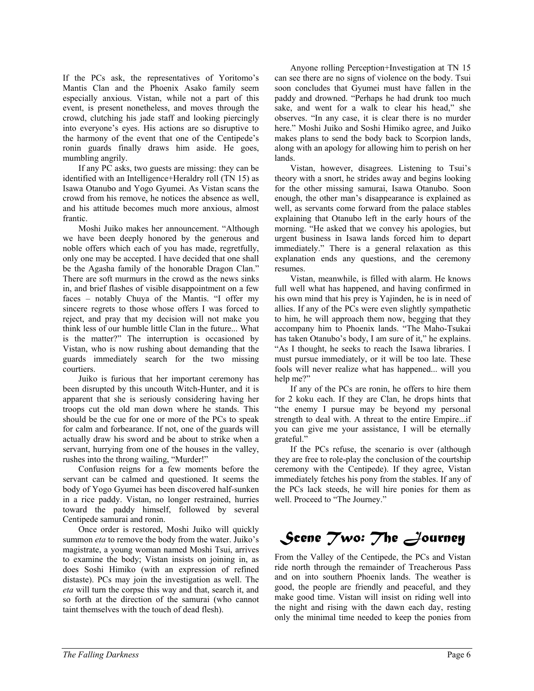If the PCs ask, the representatives of Yoritomo's Mantis Clan and the Phoenix Asako family seem especially anxious. Vistan, while not a part of this event, is present nonetheless, and moves through the crowd, clutching his jade staff and looking piercingly into everyone's eyes. His actions are so disruptive to the harmony of the event that one of the Centipede's ronin guards finally draws him aside. He goes, mumbling angrily.

 If any PC asks, two guests are missing: they can be identified with an Intelligence+Heraldry roll (TN 15) as Isawa Otanubo and Yogo Gyumei. As Vistan scans the crowd from his remove, he notices the absence as well, and his attitude becomes much more anxious, almost frantic.

 Moshi Juiko makes her announcement. "Although we have been deeply honored by the generous and noble offers which each of you has made, regretfully, only one may be accepted. I have decided that one shall be the Agasha family of the honorable Dragon Clan." There are soft murmurs in the crowd as the news sinks in, and brief flashes of visible disappointment on a few faces – notably Chuya of the Mantis. "I offer my sincere regrets to those whose offers I was forced to reject, and pray that my decision will not make you think less of our humble little Clan in the future... What is the matter?" The interruption is occasioned by Vistan, who is now rushing about demanding that the guards immediately search for the two missing courtiers.

 Juiko is furious that her important ceremony has been disrupted by this uncouth Witch-Hunter, and it is apparent that she is seriously considering having her troops cut the old man down where he stands. This should be the cue for one or more of the PCs to speak for calm and forbearance. If not, one of the guards will actually draw his sword and be about to strike when a servant, hurrying from one of the houses in the valley, rushes into the throng wailing, "Murder!"

 Confusion reigns for a few moments before the servant can be calmed and questioned. It seems the body of Yogo Gyumei has been discovered half-sunken in a rice paddy. Vistan, no longer restrained, hurries toward the paddy himself, followed by several Centipede samurai and ronin.

 Once order is restored, Moshi Juiko will quickly summon *eta* to remove the body from the water. Juiko's magistrate, a young woman named Moshi Tsui, arrives to examine the body; Vistan insists on joining in, as does Soshi Himiko (with an expression of refined distaste). PCs may join the investigation as well. The *eta* will turn the corpse this way and that, search it, and so forth at the direction of the samurai (who cannot taint themselves with the touch of dead flesh).

 Anyone rolling Perception+Investigation at TN 15 can see there are no signs of violence on the body. Tsui soon concludes that Gyumei must have fallen in the paddy and drowned. "Perhaps he had drunk too much sake, and went for a walk to clear his head," she observes. "In any case, it is clear there is no murder here." Moshi Juiko and Soshi Himiko agree, and Juiko makes plans to send the body back to Scorpion lands, along with an apology for allowing him to perish on her lands.

 Vistan, however, disagrees. Listening to Tsui's theory with a snort, he strides away and begins looking for the other missing samurai, Isawa Otanubo. Soon enough, the other man's disappearance is explained as well, as servants come forward from the palace stables explaining that Otanubo left in the early hours of the morning. "He asked that we convey his apologies, but urgent business in Isawa lands forced him to depart immediately." There is a general relaxation as this explanation ends any questions, and the ceremony resumes.

 Vistan, meanwhile, is filled with alarm. He knows full well what has happened, and having confirmed in his own mind that his prey is Yajinden, he is in need of allies. If any of the PCs were even slightly sympathetic to him, he will approach them now, begging that they accompany him to Phoenix lands. "The Maho-Tsukai has taken Otanubo's body, I am sure of it," he explains. "As I thought, he seeks to reach the Isawa libraries. I must pursue immediately, or it will be too late. These fools will never realize what has happened... will you help me?"

 If any of the PCs are ronin, he offers to hire them for 2 koku each. If they are Clan, he drops hints that "the enemy I pursue may be beyond my personal strength to deal with. A threat to the entire Empire...if you can give me your assistance, I will be eternally grateful."

 If the PCs refuse, the scenario is over (although they are free to role-play the conclusion of the courtship ceremony with the Centipede). If they agree, Vistan immediately fetches his pony from the stables. If any of the PCs lack steeds, he will hire ponies for them as well. Proceed to "The Journey."

# *Scene Two: The Journey*

From the Valley of the Centipede, the PCs and Vistan ride north through the remainder of Treacherous Pass and on into southern Phoenix lands. The weather is good, the people are friendly and peaceful, and they make good time. Vistan will insist on riding well into the night and rising with the dawn each day, resting only the minimal time needed to keep the ponies from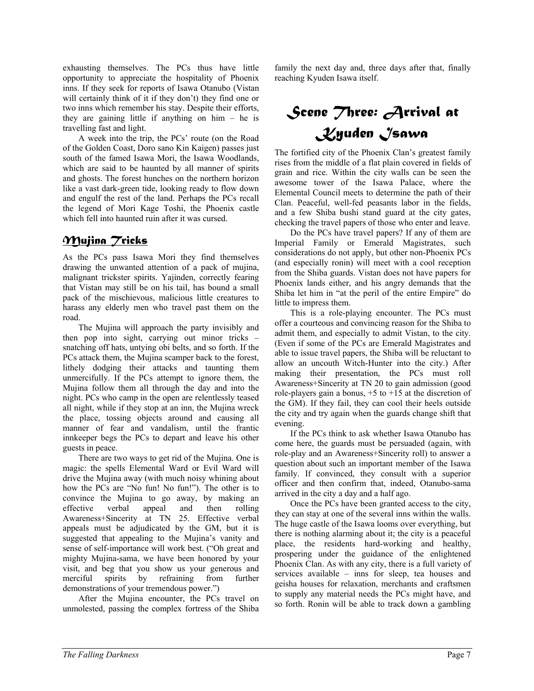exhausting themselves. The PCs thus have little opportunity to appreciate the hospitality of Phoenix inns. If they seek for reports of Isawa Otanubo (Vistan will certainly think of it if they don't) they find one or two inns which remember his stay. Despite their efforts, they are gaining little if anything on him – he is travelling fast and light.

 A week into the trip, the PCs' route (on the Road of the Golden Coast, Doro sano Kin Kaigen) passes just south of the famed Isawa Mori, the Isawa Woodlands, which are said to be haunted by all manner of spirits and ghosts. The forest hunches on the northern horizon like a vast dark-green tide, looking ready to flow down and engulf the rest of the land. Perhaps the PCs recall the legend of Mori Kage Toshi, the Phoenix castle which fell into haunted ruin after it was cursed.

#### *Mujina Tricks*

As the PCs pass Isawa Mori they find themselves drawing the unwanted attention of a pack of mujina, malignant trickster spirits. Yajinden, correctly fearing that Vistan may still be on his tail, has bound a small pack of the mischievous, malicious little creatures to harass any elderly men who travel past them on the road.

 The Mujina will approach the party invisibly and then pop into sight, carrying out minor tricks – snatching off hats, untying obi belts, and so forth. If the PCs attack them, the Mujina scamper back to the forest, lithely dodging their attacks and taunting them unmercifully. If the PCs attempt to ignore them, the Mujina follow them all through the day and into the night. PCs who camp in the open are relentlessly teased all night, while if they stop at an inn, the Mujina wreck the place, tossing objects around and causing all manner of fear and vandalism, until the frantic innkeeper begs the PCs to depart and leave his other guests in peace.

 There are two ways to get rid of the Mujina. One is magic: the spells Elemental Ward or Evil Ward will drive the Mujina away (with much noisy whining about how the PCs are "No fun! No fun!"). The other is to convince the Mujina to go away, by making an effective verbal appeal and then rolling Awareness+Sincerity at TN 25. Effective verbal appeals must be adjudicated by the GM, but it is suggested that appealing to the Mujina's vanity and sense of self-importance will work best. ("Oh great and mighty Mujina-sama, we have been honored by your visit, and beg that you show us your generous and merciful spirits by refraining from further demonstrations of your tremendous power.")

 After the Mujina encounter, the PCs travel on unmolested, passing the complex fortress of the Shiba

family the next day and, three days after that, finally reaching Kyuden Isawa itself.

# *Scene Three: Arrival at Kyuden Isawa*

The fortified city of the Phoenix Clan's greatest family rises from the middle of a flat plain covered in fields of grain and rice. Within the city walls can be seen the awesome tower of the Isawa Palace, where the Elemental Council meets to determine the path of their Clan. Peaceful, well-fed peasants labor in the fields, and a few Shiba bushi stand guard at the city gates, checking the travel papers of those who enter and leave.

 Do the PCs have travel papers? If any of them are Imperial Family or Emerald Magistrates, such considerations do not apply, but other non-Phoenix PCs (and especially ronin) will meet with a cool reception from the Shiba guards. Vistan does not have papers for Phoenix lands either, and his angry demands that the Shiba let him in "at the peril of the entire Empire" do little to impress them.

 This is a role-playing encounter. The PCs must offer a courteous and convincing reason for the Shiba to admit them, and especially to admit Vistan, to the city. (Even if some of the PCs are Emerald Magistrates and able to issue travel papers, the Shiba will be reluctant to allow an uncouth Witch-Hunter into the city.) After making their presentation, the PCs must roll Awareness+Sincerity at TN 20 to gain admission (good role-players gain a bonus,  $+5$  to  $+15$  at the discretion of the GM). If they fail, they can cool their heels outside the city and try again when the guards change shift that evening.

 If the PCs think to ask whether Isawa Otanubo has come here, the guards must be persuaded (again, with role-play and an Awareness+Sincerity roll) to answer a question about such an important member of the Isawa family. If convinced, they consult with a superior officer and then confirm that, indeed, Otanubo-sama arrived in the city a day and a half ago.

 Once the PCs have been granted access to the city, they can stay at one of the several inns within the walls. The huge castle of the Isawa looms over everything, but there is nothing alarming about it; the city is a peaceful place, the residents hard-working and healthy, prospering under the guidance of the enlightened Phoenix Clan. As with any city, there is a full variety of services available – inns for sleep, tea houses and geisha houses for relaxation, merchants and craftsmen to supply any material needs the PCs might have, and so forth. Ronin will be able to track down a gambling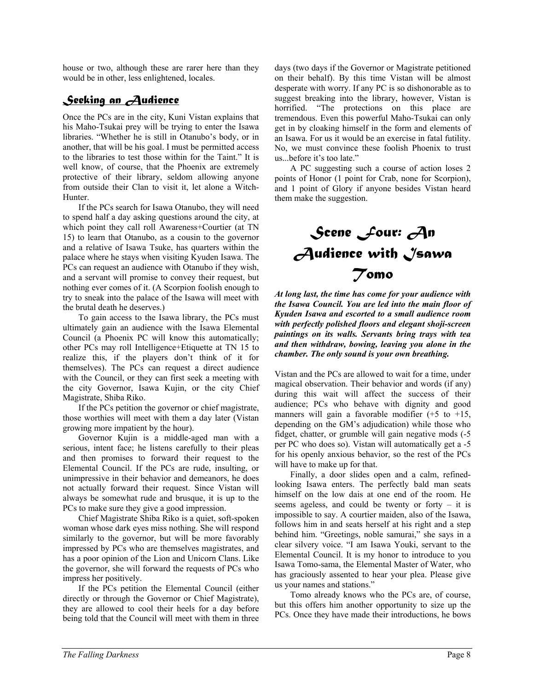house or two, although these are rarer here than they would be in other, less enlightened, locales.

#### *Seeking an Audience*

Once the PCs are in the city, Kuni Vistan explains that his Maho-Tsukai prey will be trying to enter the Isawa libraries. "Whether he is still in Otanubo's body, or in another, that will be his goal. I must be permitted access to the libraries to test those within for the Taint." It is well know, of course, that the Phoenix are extremely protective of their library, seldom allowing anyone from outside their Clan to visit it, let alone a Witch-Hunter.

 If the PCs search for Isawa Otanubo, they will need to spend half a day asking questions around the city, at which point they call roll Awareness+Courtier (at TN 15) to learn that Otanubo, as a cousin to the governor and a relative of Isawa Tsuke, has quarters within the palace where he stays when visiting Kyuden Isawa. The PCs can request an audience with Otanubo if they wish, and a servant will promise to convey their request, but nothing ever comes of it. (A Scorpion foolish enough to try to sneak into the palace of the Isawa will meet with the brutal death he deserves.)

 To gain access to the Isawa library, the PCs must ultimately gain an audience with the Isawa Elemental Council (a Phoenix PC will know this automatically; other PCs may roll Intelligence+Etiquette at TN 15 to realize this, if the players don't think of it for themselves). The PCs can request a direct audience with the Council, or they can first seek a meeting with the city Governor, Isawa Kujin, or the city Chief Magistrate, Shiba Riko.

 If the PCs petition the governor or chief magistrate, those worthies will meet with them a day later (Vistan growing more impatient by the hour).

 Governor Kujin is a middle-aged man with a serious, intent face; he listens carefully to their pleas and then promises to forward their request to the Elemental Council. If the PCs are rude, insulting, or unimpressive in their behavior and demeanors, he does not actually forward their request. Since Vistan will always be somewhat rude and brusque, it is up to the PCs to make sure they give a good impression.

 Chief Magistrate Shiba Riko is a quiet, soft-spoken woman whose dark eyes miss nothing. She will respond similarly to the governor, but will be more favorably impressed by PCs who are themselves magistrates, and has a poor opinion of the Lion and Unicorn Clans. Like the governor, she will forward the requests of PCs who impress her positively.

 If the PCs petition the Elemental Council (either directly or through the Governor or Chief Magistrate), they are allowed to cool their heels for a day before being told that the Council will meet with them in three days (two days if the Governor or Magistrate petitioned on their behalf). By this time Vistan will be almost desperate with worry. If any PC is so dishonorable as to suggest breaking into the library, however, Vistan is horrified. "The protections on this place are tremendous. Even this powerful Maho-Tsukai can only get in by cloaking himself in the form and elements of an Isawa. For us it would be an exercise in fatal futility. No, we must convince these foolish Phoenix to trust us...before it's too late."

 A PC suggesting such a course of action loses 2 points of Honor (1 point for Crab, none for Scorpion), and 1 point of Glory if anyone besides Vistan heard them make the suggestion.



*At long last, the time has come for your audience with the Isawa Council. You are led into the main floor of Kyuden Isawa and escorted to a small audience room with perfectly polished floors and elegant shoji-screen paintings on its walls. Servants bring trays with tea and then withdraw, bowing, leaving you alone in the chamber. The only sound is your own breathing.* 

Vistan and the PCs are allowed to wait for a time, under magical observation. Their behavior and words (if any) during this wait will affect the success of their audience; PCs who behave with dignity and good manners will gain a favorable modifier  $(+5 \text{ to } +15)$ , depending on the GM's adjudication) while those who fidget, chatter, or grumble will gain negative mods (-5 per PC who does so). Vistan will automatically get a -5 for his openly anxious behavior, so the rest of the PCs will have to make up for that.

 Finally, a door slides open and a calm, refinedlooking Isawa enters. The perfectly bald man seats himself on the low dais at one end of the room. He seems ageless, and could be twenty or forty – it is impossible to say. A courtier maiden, also of the Isawa, follows him in and seats herself at his right and a step behind him. "Greetings, noble samurai," she says in a clear silvery voice. "I am Isawa Youki, servant to the Elemental Council. It is my honor to introduce to you Isawa Tomo-sama, the Elemental Master of Water, who has graciously assented to hear your plea. Please give us your names and stations."

 Tomo already knows who the PCs are, of course, but this offers him another opportunity to size up the PCs. Once they have made their introductions, he bows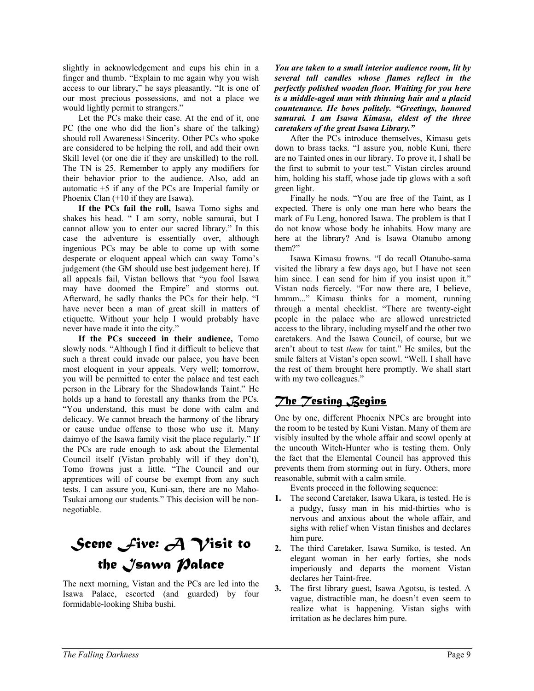slightly in acknowledgement and cups his chin in a finger and thumb. "Explain to me again why you wish access to our library," he says pleasantly. "It is one of our most precious possessions, and not a place we would lightly permit to strangers."

 Let the PCs make their case. At the end of it, one PC (the one who did the lion's share of the talking) should roll Awareness+Sincerity. Other PCs who spoke are considered to be helping the roll, and add their own Skill level (or one die if they are unskilled) to the roll. The TN is 25. Remember to apply any modifiers for their behavior prior to the audience. Also, add an automatic +5 if any of the PCs are Imperial family or Phoenix Clan (+10 if they are Isawa).

**If the PCs fail the roll,** Isawa Tomo sighs and shakes his head. " I am sorry, noble samurai, but I cannot allow you to enter our sacred library." In this case the adventure is essentially over, although ingenious PCs may be able to come up with some desperate or eloquent appeal which can sway Tomo's judgement (the GM should use best judgement here). If all appeals fail, Vistan bellows that "you fool Isawa may have doomed the Empire" and storms out. Afterward, he sadly thanks the PCs for their help. "I have never been a man of great skill in matters of etiquette. Without your help I would probably have never have made it into the city."

**If the PCs succeed in their audience,** Tomo slowly nods. "Although I find it difficult to believe that such a threat could invade our palace, you have been most eloquent in your appeals. Very well; tomorrow, you will be permitted to enter the palace and test each person in the Library for the Shadowlands Taint." He holds up a hand to forestall any thanks from the PCs. "You understand, this must be done with calm and delicacy. We cannot breach the harmony of the library or cause undue offense to those who use it. Many daimyo of the Isawa family visit the place regularly." If the PCs are rude enough to ask about the Elemental Council itself (Vistan probably will if they don't), Tomo frowns just a little. "The Council and our apprentices will of course be exempt from any such tests. I can assure you, Kuni-san, there are no Maho-Tsukai among our students." This decision will be nonnegotiable.

# *Scene Five: A Visit to the Isawa Palace*

The next morning, Vistan and the PCs are led into the Isawa Palace, escorted (and guarded) by four formidable-looking Shiba bushi.

*You are taken to a small interior audience room, lit by several tall candles whose flames reflect in the perfectly polished wooden floor. Waiting for you here is a middle-aged man with thinning hair and a placid countenance. He bows politely. "Greetings, honored samurai. I am Isawa Kimasu, eldest of the three caretakers of the great Isawa Library."* 

 After the PCs introduce themselves, Kimasu gets down to brass tacks. "I assure you, noble Kuni, there are no Tainted ones in our library. To prove it, I shall be the first to submit to your test." Vistan circles around him, holding his staff, whose jade tip glows with a soft green light.

 Finally he nods. "You are free of the Taint, as I expected. There is only one man here who bears the mark of Fu Leng, honored Isawa. The problem is that I do not know whose body he inhabits. How many are here at the library? And is Isawa Otanubo among them?"

 Isawa Kimasu frowns. "I do recall Otanubo-sama visited the library a few days ago, but I have not seen him since. I can send for him if you insist upon it." Vistan nods fiercely. "For now there are, I believe, hmmm..." Kimasu thinks for a moment, running through a mental checklist. "There are twenty-eight people in the palace who are allowed unrestricted access to the library, including myself and the other two caretakers. And the Isawa Council, of course, but we aren't about to test *them* for taint." He smiles, but the smile falters at Vistan's open scowl. "Well. I shall have the rest of them brought here promptly. We shall start with my two colleagues."

## *The Testing Begins*

One by one, different Phoenix NPCs are brought into the room to be tested by Kuni Vistan. Many of them are visibly insulted by the whole affair and scowl openly at the uncouth Witch-Hunter who is testing them. Only the fact that the Elemental Council has approved this prevents them from storming out in fury. Others, more reasonable, submit with a calm smile.

Events proceed in the following sequence:

- **1.** The second Caretaker, Isawa Ukara, is tested. He is a pudgy, fussy man in his mid-thirties who is nervous and anxious about the whole affair, and sighs with relief when Vistan finishes and declares him pure.
- **2.** The third Caretaker, Isawa Sumiko, is tested. An elegant woman in her early forties, she nods imperiously and departs the moment Vistan declares her Taint-free.
- **3.** The first library guest, Isawa Agotsu, is tested. A vague, distractible man, he doesn't even seem to realize what is happening. Vistan sighs with irritation as he declares him pure.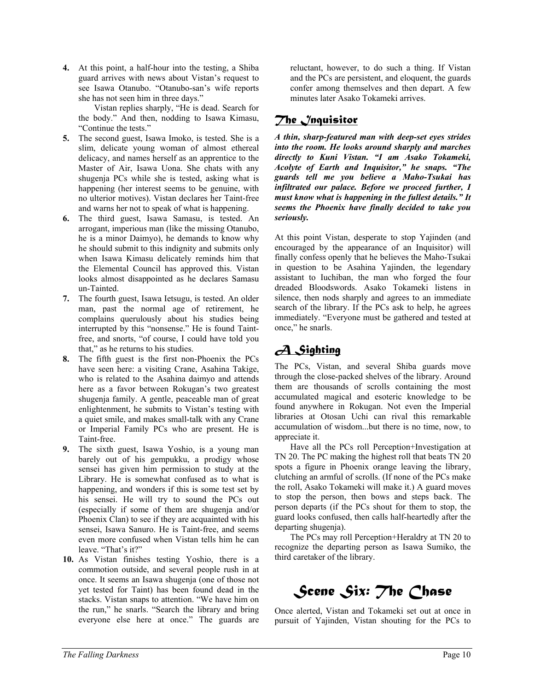**4.** At this point, a half-hour into the testing, a Shiba guard arrives with news about Vistan's request to see Isawa Otanubo. "Otanubo-san's wife reports she has not seen him in three days."

 Vistan replies sharply, "He is dead. Search for the body." And then, nodding to Isawa Kimasu, "Continue the tests."

- **5.** The second guest, Isawa Imoko, is tested. She is a slim, delicate young woman of almost ethereal delicacy, and names herself as an apprentice to the Master of Air, Isawa Uona. She chats with any shugenja PCs while she is tested, asking what is happening (her interest seems to be genuine, with no ulterior motives). Vistan declares her Taint-free and warns her not to speak of what is happening.
- **6.** The third guest, Isawa Samasu, is tested. An arrogant, imperious man (like the missing Otanubo, he is a minor Daimyo), he demands to know why he should submit to this indignity and submits only when Isawa Kimasu delicately reminds him that the Elemental Council has approved this. Vistan looks almost disappointed as he declares Samasu un-Tainted.
- **7.** The fourth guest, Isawa Ietsugu, is tested. An older man, past the normal age of retirement, he complains querulously about his studies being interrupted by this "nonsense." He is found Taintfree, and snorts, "of course, I could have told you that," as he returns to his studies.
- **8.** The fifth guest is the first non-Phoenix the PCs have seen here: a visiting Crane, Asahina Takige, who is related to the Asahina daimyo and attends here as a favor between Rokugan's two greatest shugenja family. A gentle, peaceable man of great enlightenment, he submits to Vistan's testing with a quiet smile, and makes small-talk with any Crane or Imperial Family PCs who are present. He is Taint-free.
- **9.** The sixth guest, Isawa Yoshio, is a young man barely out of his gempukku, a prodigy whose sensei has given him permission to study at the Library. He is somewhat confused as to what is happening, and wonders if this is some test set by his sensei. He will try to sound the PCs out (especially if some of them are shugenja and/or Phoenix Clan) to see if they are acquainted with his sensei, Isawa Sanuro. He is Taint-free, and seems even more confused when Vistan tells him he can leave. "That's it?"
- **10.** As Vistan finishes testing Yoshio, there is a commotion outside, and several people rush in at once. It seems an Isawa shugenja (one of those not yet tested for Taint) has been found dead in the stacks. Vistan snaps to attention. "We have him on the run," he snarls. "Search the library and bring everyone else here at once." The guards are

reluctant, however, to do such a thing. If Vistan and the PCs are persistent, and eloquent, the guards confer among themselves and then depart. A few minutes later Asako Tokameki arrives.

#### *The Inquisitor*

*A thin, sharp-featured man with deep-set eyes strides into the room. He looks around sharply and marches directly to Kuni Vistan. "I am Asako Tokameki, Acolyte of Earth and Inquisitor," he snaps. "The guards tell me you believe a Maho-Tsukai has infiltrated our palace. Before we proceed further, I must know what is happening in the fullest details." It seems the Phoenix have finally decided to take you seriously.* 

At this point Vistan, desperate to stop Yajinden (and encouraged by the appearance of an Inquisitor) will finally confess openly that he believes the Maho-Tsukai in question to be Asahina Yajinden, the legendary assistant to Iuchiban, the man who forged the four dreaded Bloodswords. Asako Tokameki listens in silence, then nods sharply and agrees to an immediate search of the library. If the PCs ask to help, he agrees immediately. "Everyone must be gathered and tested at once," he snarls.

## *A Sighting*

The PCs, Vistan, and several Shiba guards move through the close-packed shelves of the library. Around them are thousands of scrolls containing the most accumulated magical and esoteric knowledge to be found anywhere in Rokugan. Not even the Imperial libraries at Otosan Uchi can rival this remarkable accumulation of wisdom...but there is no time, now, to appreciate it.

 Have all the PCs roll Perception+Investigation at TN 20. The PC making the highest roll that beats TN 20 spots a figure in Phoenix orange leaving the library, clutching an armful of scrolls. (If none of the PCs make the roll, Asako Tokameki will make it.) A guard moves to stop the person, then bows and steps back. The person departs (if the PCs shout for them to stop, the guard looks confused, then calls half-heartedly after the departing shugenja).

 The PCs may roll Perception+Heraldry at TN 20 to recognize the departing person as Isawa Sumiko, the third caretaker of the library.

*Scene Six: The Chase* 

Once alerted, Vistan and Tokameki set out at once in pursuit of Yajinden, Vistan shouting for the PCs to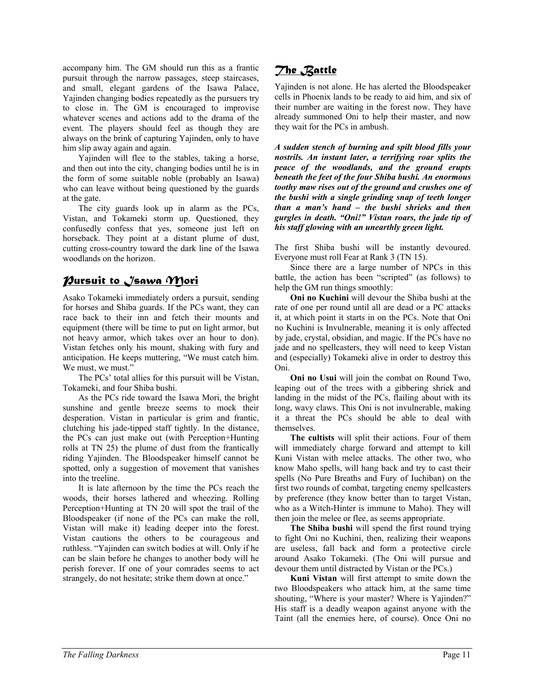accompany him. The GM should run this as a frantic pursuit through the narrow passages, steep staircases, and small, elegant gardens of the Isawa Palace, Yajinden changing bodies repeatedly as the pursuers try to close in. The GM is encouraged to improvise whatever scenes and actions add to the drama of the event. The players should feel as though they are always on the brink of capturing Yajinden, only to have him slip away again and again.

 Yajinden will flee to the stables, taking a horse, and then out into the city, changing bodies until he is in the form of some suitable noble (probably an Isawa) who can leave without being questioned by the guards at the gate.

 The city guards look up in alarm as the PCs, Vistan, and Tokameki storm up. Questioned, they confusedly confess that yes, someone just left on horseback. They point at a distant plume of dust, cutting cross-country toward the dark line of the Isawa woodlands on the horizon.

#### *Pursuit to Isawa Mori*

Asako Tokameki immediately orders a pursuit, sending for horses and Shiba guards. If the PCs want, they can race back to their inn and fetch their mounts and equipment (there will be time to put on light armor, but not heavy armor, which takes over an hour to don). Vistan fetches only his mount, shaking with fury and anticipation. He keeps muttering, "We must catch him. We must, we must."

 The PCs' total allies for this pursuit will be Vistan, Tokameki, and four Shiba bushi.

 As the PCs ride toward the Isawa Mori, the bright sunshine and gentle breeze seems to mock their desperation. Vistan in particular is grim and frantic, clutching his jade-tipped staff tightly. In the distance, the PCs can just make out (with Perception+Hunting rolls at TN 25) the plume of dust from the frantically riding Yajinden. The Bloodspeaker himself cannot be spotted, only a suggestion of movement that vanishes into the treeline.

 It is late afternoon by the time the PCs reach the woods, their horses lathered and wheezing. Rolling Perception+Hunting at TN 20 will spot the trail of the Bloodspeaker (if none of the PCs can make the roll, Vistan will make it) leading deeper into the forest. Vistan cautions the others to be courageous and ruthless. "Yajinden can switch bodies at will. Only if he can be slain before he changes to another body will he perish forever. If one of your comrades seems to act strangely, do not hesitate; strike them down at once."

## *The Battle*

Yajinden is not alone. He has alerted the Bloodspeaker cells in Phoenix lands to be ready to aid him, and six of their number are waiting in the forest now. They have already summoned Oni to help their master, and now they wait for the PCs in ambush.

*A sudden stench of burning and spilt blood fills your nostrils. An instant later, a terrifying roar splits the peace of the woodlands, and the ground erupts beneath the feet of the four Shiba bushi. An enormous toothy maw rises out of the ground and crushes one of the bushi with a single grinding snap of teeth longer than a man's hand – the bushi shrieks and then gurgles in death. "Oni!" Vistan roars, the jade tip of his staff glowing with an unearthly green light.* 

The first Shiba bushi will be instantly devoured. Everyone must roll Fear at Rank 3 (TN 15).

 Since there are a large number of NPCs in this battle, the action has been "scripted" (as follows) to help the GM run things smoothly:

**Oni no Kuchini** will devour the Shiba bushi at the rate of one per round until all are dead or a PC attacks it, at which point it starts in on the PCs. Note that Oni no Kuchini is Invulnerable, meaning it is only affected by jade, crystal, obsidian, and magic. If the PCs have no jade and no spellcasters, they will need to keep Vistan and (especially) Tokameki alive in order to destroy this Oni.

**Oni no Usui** will join the combat on Round Two, leaping out of the trees with a gibbering shriek and landing in the midst of the PCs, flailing about with its long, wavy claws. This Oni is not invulnerable, making it a threat the PCs should be able to deal with themselves.

**The cultists** will split their actions. Four of them will immediately charge forward and attempt to kill Kuni Vistan with melee attacks. The other two, who know Maho spells, will hang back and try to cast their spells (No Pure Breaths and Fury of Iuchiban) on the first two rounds of combat, targeting enemy spellcasters by preference (they know better than to target Vistan, who as a Witch-Hinter is immune to Maho). They will then join the melee or flee, as seems appropriate.

**The Shiba bushi** will spend the first round trying to fight Oni no Kuchini, then, realizing their weapons are useless, fall back and form a protective circle around Asako Tokameki. (The Oni will pursue and devour them until distracted by Vistan or the PCs.)

**Kuni Vistan** will first attempt to smite down the two Bloodspeakers who attack him, at the same time shouting, "Where is your master? Where is Yajinden?" His staff is a deadly weapon against anyone with the Taint (all the enemies here, of course). Once Oni no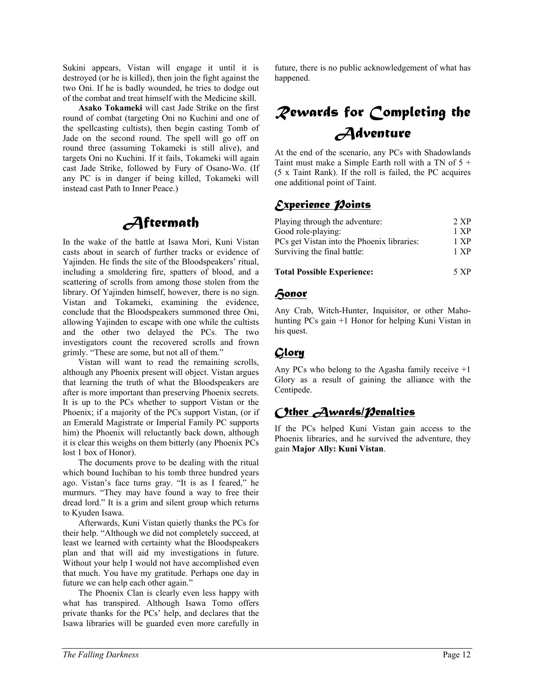Sukini appears, Vistan will engage it until it is destroyed (or he is killed), then join the fight against the two Oni. If he is badly wounded, he tries to dodge out of the combat and treat himself with the Medicine skill.

**Asako Tokameki** will cast Jade Strike on the first round of combat (targeting Oni no Kuchini and one of the spellcasting cultists), then begin casting Tomb of Jade on the second round. The spell will go off on round three (assuming Tokameki is still alive), and targets Oni no Kuchini. If it fails, Tokameki will again cast Jade Strike, followed by Fury of Osano-Wo. (If any PC is in danger if being killed, Tokameki will instead cast Path to Inner Peace.)

## *Aftermath*

In the wake of the battle at Isawa Mori, Kuni Vistan casts about in search of further tracks or evidence of Yajinden. He finds the site of the Bloodspeakers' ritual, including a smoldering fire, spatters of blood, and a scattering of scrolls from among those stolen from the library. Of Yajinden himself, however, there is no sign. Vistan and Tokameki, examining the evidence, conclude that the Bloodspeakers summoned three Oni, allowing Yajinden to escape with one while the cultists and the other two delayed the PCs. The two investigators count the recovered scrolls and frown grimly. "These are some, but not all of them."

 Vistan will want to read the remaining scrolls, although any Phoenix present will object. Vistan argues that learning the truth of what the Bloodspeakers are after is more important than preserving Phoenix secrets. It is up to the PCs whether to support Vistan or the Phoenix; if a majority of the PCs support Vistan, (or if an Emerald Magistrate or Imperial Family PC supports him) the Phoenix will reluctantly back down, although it is clear this weighs on them bitterly (any Phoenix PCs lost 1 box of Honor).

 The documents prove to be dealing with the ritual which bound Iuchiban to his tomb three hundred years ago. Vistan's face turns gray. "It is as I feared," he murmurs. "They may have found a way to free their dread lord." It is a grim and silent group which returns to Kyuden Isawa.

 Afterwards, Kuni Vistan quietly thanks the PCs for their help. "Although we did not completely succeed, at least we learned with certainty what the Bloodspeakers plan and that will aid my investigations in future. Without your help I would not have accomplished even that much. You have my gratitude. Perhaps one day in future we can help each other again."

 The Phoenix Clan is clearly even less happy with what has transpired. Although Isawa Tomo offers private thanks for the PCs' help, and declares that the Isawa libraries will be guarded even more carefully in

future, there is no public acknowledgement of what has happened.

# *Rewards for Completing the Adventure*

At the end of the scenario, any PCs with Shadowlands Taint must make a Simple Earth roll with a TN of 5 + (5 x Taint Rank). If the roll is failed, the PC acquires one additional point of Taint.

## *Experience Points*

| <b>Total Possible Experience:</b>                                | 5 XP         |
|------------------------------------------------------------------|--------------|
| Surviving the final battle:                                      | 1 XP         |
| Good role-playing:<br>PCs get Vistan into the Phoenix libraries: | 1 XP<br>1 XP |
|                                                                  |              |
|                                                                  |              |

#### *Honor*

Any Crab, Witch-Hunter, Inquisitor, or other Mahohunting PCs gain +1 Honor for helping Kuni Vistan in his quest.

## *Glory*

Any PCs who belong to the Agasha family receive +1 Glory as a result of gaining the alliance with the Centipede.

## *Other Awards/Penalties*

If the PCs helped Kuni Vistan gain access to the Phoenix libraries, and he survived the adventure, they gain **Major Ally: Kuni Vistan**.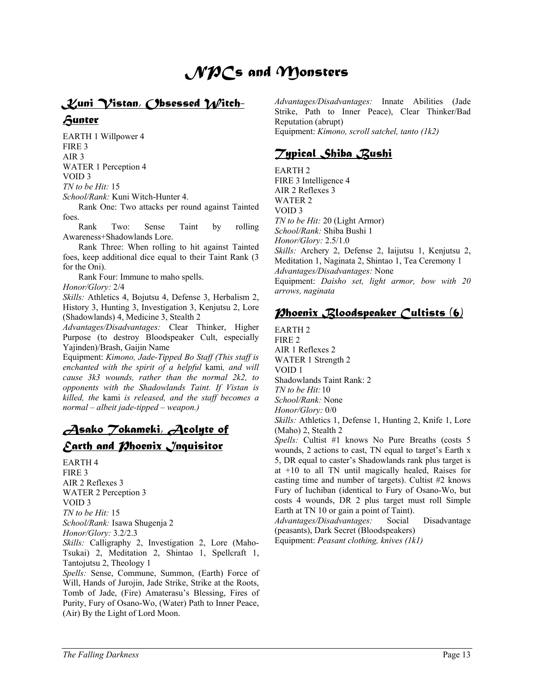# *NPCs and Monsters*

## *Kuni Vistan, Obsessed Witch-Hunter*

EARTH 1 Willpower 4 FIRE 3 AIR 3 WATER 1 Perception 4 VOID 3 *TN to be Hit:* 15 *School/Rank:* Kuni Witch-Hunter 4.

 Rank One: Two attacks per round against Tainted foes.

 Rank Two: Sense Taint by rolling Awareness+Shadowlands Lore.

 Rank Three: When rolling to hit against Tainted foes, keep additional dice equal to their Taint Rank (3 for the Oni).

Rank Four: Immune to maho spells.

*Honor/Glory:* 2/4

*Skills:* Athletics 4, Bojutsu 4, Defense 3, Herbalism 2, History 3, Hunting 3, Investigation 3, Kenjutsu 2, Lore (Shadowlands) 4, Medicine 3, Stealth 2

*Advantages/Disadvantages:* Clear Thinker, Higher Purpose (to destroy Bloodspeaker Cult, especially Yajinden)/Brash, Gaijin Name

Equipment: *Kimono, Jade-Tipped Bo Staff (This staff is enchanted with the spirit of a helpful* kami*, and will cause 3k3 wounds, rather than the normal 2k2, to opponents with the Shadowlands Taint. If Vistan is killed, the* kami *is released, and the staff becomes a normal – albeit jade-tipped – weapon.)* 

## *Asako Tokameki, Acolyte of Earth and Phoenix Inquisitor*

EARTH 4 FIRE 3 AIR 2 Reflexes 3 WATER 2 Perception 3 VOID 3 *TN to be Hit:* 15 *School/Rank:* Isawa Shugenja 2 *Honor/Glory:* 3.2/2.3 *Skills:* Calligraphy 2, Investigation 2, Lore (Maho-

Tsukai) 2, Meditation 2, Shintao 1, Spellcraft 1, Tantojutsu 2, Theology 1

*Spells:* Sense, Commune, Summon, (Earth) Force of Will, Hands of Jurojin, Jade Strike, Strike at the Roots, Tomb of Jade, (Fire) Amaterasu's Blessing, Fires of Purity, Fury of Osano-Wo, (Water) Path to Inner Peace, (Air) By the Light of Lord Moon.

*Advantages/Disadvantages:* Innate Abilities (Jade Strike, Path to Inner Peace), Clear Thinker/Bad Reputation (abrupt) Equipment: *Kimono, scroll satchel, tanto (1k2)* 

#### *Typical Shiba Bushi*

EARTH 2 FIRE 3 Intelligence 4 AIR 2 Reflexes 3 WATER 2 VOID 3 *TN to be Hit:* 20 (Light Armor) *School/Rank:* Shiba Bushi 1 *Honor/Glory:* 2.5/1.0 *Skills:* Archery 2, Defense 2, Iaijutsu 1, Kenjutsu 2, Meditation 1, Naginata 2, Shintao 1, Tea Ceremony 1 *Advantages/Disadvantages:* None Equipment: *Daisho set, light armor, bow with 20 arrows, naginata* 

## *Phoenix Bloodspeaker Cultists (6)*

EARTH 2 FIRE 2 AIR 1 Reflexes 2 WATER 1 Strength 2 VOID 1 Shadowlands Taint Rank: 2 *TN to be Hit:* 10 *School/Rank:* None *Honor/Glory:* 0/0 *Skills:* Athletics 1, Defense 1, Hunting 2, Knife 1, Lore

(Maho) 2, Stealth 2 *Spells:* Cultist #1 knows No Pure Breaths (costs 5 wounds, 2 actions to cast, TN equal to target's Earth x 5, DR equal to caster's Shadowlands rank plus target is at +10 to all TN until magically healed, Raises for casting time and number of targets). Cultist #2 knows Fury of Iuchiban (identical to Fury of Osano-Wo, but costs 4 wounds, DR 2 plus target must roll Simple Earth at TN 10 or gain a point of Taint).

*Advantages/Disadvantages:* Social Disadvantage (peasants), Dark Secret (Bloodspeakers)

Equipment: *Peasant clothing, knives (1k1)*